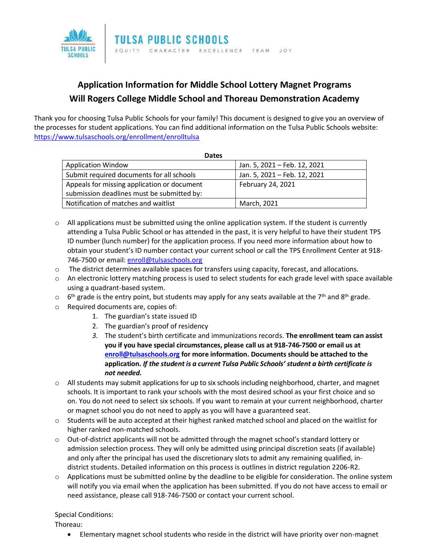

## **Application Information for Middle School Lottery Magnet Programs Will Rogers College Middle School and Thoreau Demonstration Academy**

Thank you for choosing Tulsa Public Schools for your family! This document is designed to give you an overview of the processes for student applications. You can find additional information on the Tulsa Public Schools website: <https://www.tulsaschools.org/enrollment/enrolltulsa>

| <b>Dates</b>                                |                              |
|---------------------------------------------|------------------------------|
| <b>Application Window</b>                   | Jan. 5, 2021 - Feb. 12, 2021 |
| Submit required documents for all schools   | Jan. 5, 2021 - Feb. 12, 2021 |
| Appeals for missing application or document | February 24, 2021            |
| submission deadlines must be submitted by:  |                              |
| Notification of matches and waitlist        | March, 2021                  |

- $\circ$  All applications must be submitted using the online application system. If the student is currently attending a Tulsa Public School or has attended in the past, it is very helpful to have their student TPS ID number (lunch number) for the application process. If you need more information about how to obtain your student's ID number contact your current school or call the TPS Enrollment Center at 918- 746-7500 or email: [enroll@tulsaschools.org](mailto:enroll@tulsaschools.org)
- o The district determines available spaces for transfers using capacity, forecast, and allocations.
- $\circ$  An electronic lottery matching process is used to select students for each grade level with space available using a quadrant-based system.
- $\circ$  6<sup>th</sup> grade is the entry point, but students may apply for any seats available at the 7<sup>th</sup> and 8<sup>th</sup> grade.
- o Required documents are, copies of:
	- 1. The guardian's state issued ID
	- 2. The guardian's proof of residency
	- *3.* The student's birth certificate and immunizations records. **The enrollment team can assist you if you have special circumstances, please call us at 918-746-7500 or email us at [enroll@tulsaschools.org](mailto:enroll@tulsaschools.org) for more information. Documents should be attached to the application.** *If the student is a current Tulsa Public Schools' student a birth certificate is not needed.*
- o All students may submit applications for up to six schools including neighborhood, charter, and magnet schools. It is important to rank your schools with the most desired school as your first choice and so on. You do not need to select six schools. If you want to remain at your current neighborhood, charter or magnet school you do not need to apply as you will have a guaranteed seat.
- $\circ$  Students will be auto accepted at their highest ranked matched school and placed on the waitlist for higher ranked non-matched schools.
- $\circ$  Out-of-district applicants will not be admitted through the magnet school's standard lottery or admission selection process. They will only be admitted using principal discretion seats (if available) and only after the principal has used the discretionary slots to admit any remaining qualified, indistrict students. Detailed information on this process is outlines in district regulation 2206-R2.
- $\circ$  Applications must be submitted online by the deadline to be eligible for consideration. The online system will notify you via email when the application has been submitted. If you do not have access to email or need assistance, please call 918-746-7500 or contact your current school.

## Special Conditions:

Thoreau:

• Elementary magnet school students who reside in the district will have priority over non-magnet